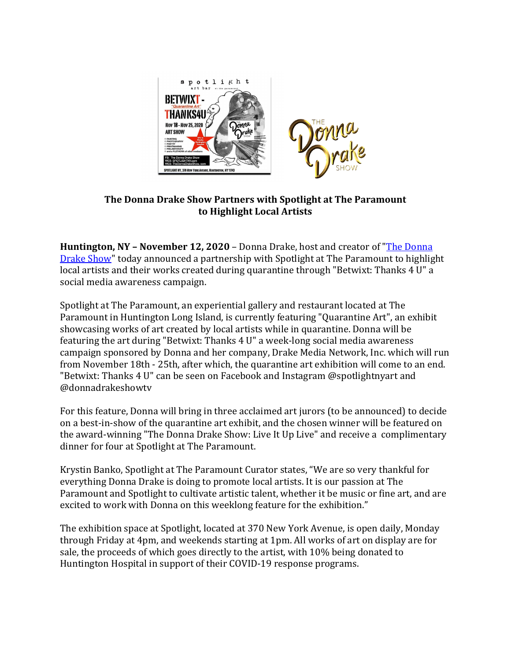

## **The Donna Drake Show Partners with Spotlight at The Paramount** to Highlight Local Artists

**Huntington, NY – November 12, 2020** – Donna Drake, host and creator of "The Donna Drake Show" today announced a partnership with Spotlight at The Paramount to highlight local artists and their works created during quarantine through "Betwixt: Thanks 4 U" a social media awareness campaign.

Spotlight at The Paramount, an experiential gallery and restaurant located at The Paramount in Huntington Long Island, is currently featuring "Quarantine Art", an exhibit showcasing works of art created by local artists while in quarantine. Donna will be featuring the art during "Betwixt: Thanks 4 U" a week-long social media awareness campaign sponsored by Donna and her company, Drake Media Network, Inc. which will run from November 18th - 25th, after which, the quarantine art exhibition will come to an end. "Betwixt: Thanks 4 U" can be seen on Facebook and Instagram @spotlightnyart and @donnadrakeshowtv

For this feature, Donna will bring in three acclaimed art jurors (to be announced) to decide on a best-in-show of the quarantine art exhibit, and the chosen winner will be featured on the award-winning "The Donna Drake Show: Live It Up Live" and receive a complimentary dinner for four at Spotlight at The Paramount.

Krystin Banko, Spotlight at The Paramount Curator states, "We are so very thankful for everything Donna Drake is doing to promote local artists. It is our passion at The Paramount and Spotlight to cultivate artistic talent, whether it be music or fine art, and are excited to work with Donna on this weeklong feature for the exhibition."

The exhibition space at Spotlight, located at 370 New York Avenue, is open daily, Monday through Friday at 4pm, and weekends starting at 1pm. All works of art on display are for sale, the proceeds of which goes directly to the artist, with 10% being donated to Huntington Hospital in support of their COVID-19 response programs.